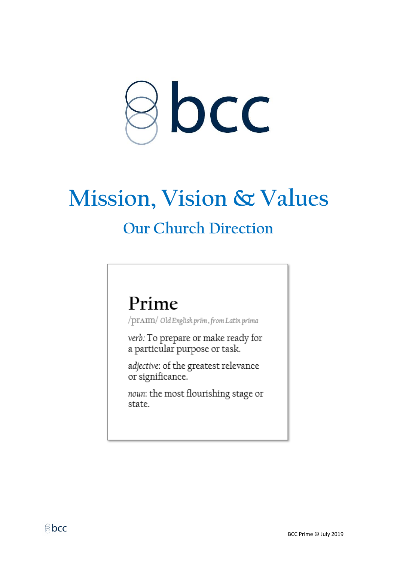

# **Mission, Vision & Values**

#### **Our Church Direction**

### Prime

/prAIm/ Old English prim, from Latin prima

verb: To prepare or make ready for a particular purpose or task.

adjective: of the greatest relevance or significance.

noun: the most flourishing stage or state.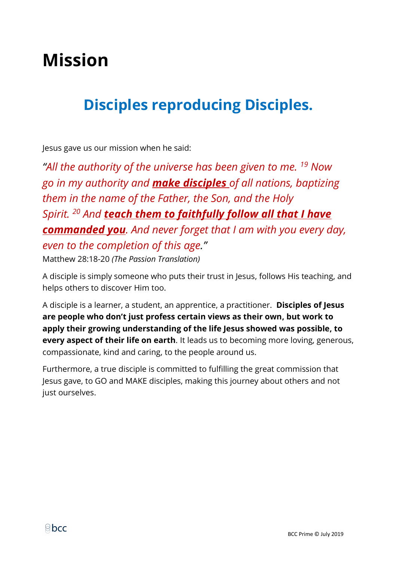## **Mission**

#### **Disciples reproducing Disciples.**

Jesus gave us our mission when he said:

*"All the authority of the universe has been given to me. <sup>19</sup> Now go in my authority and make disciples of all nations, baptizing them in the name of the Father, the Son, and the Holy Spirit. <sup>20</sup> And teach them to faithfully follow all that I have commanded you. And never forget that I am with you every day, even to the completion of this age."*  Matthew 28:18-20 *(The Passion Translation)*

A disciple is simply someone who puts their trust in Jesus, follows His teaching, and helps others to discover Him too.

A disciple is a learner, a student, an apprentice, a practitioner. **Disciples of Jesus are people who don't just profess certain views as their own, but work to apply their growing understanding of the life Jesus showed was possible, to every aspect of their life on earth**. It leads us to becoming more loving, generous, compassionate, kind and caring, to the people around us.

Furthermore, a true disciple is committed to fulfilling the great commission that Jesus gave, to GO and MAKE disciples, making this journey about others and not just ourselves.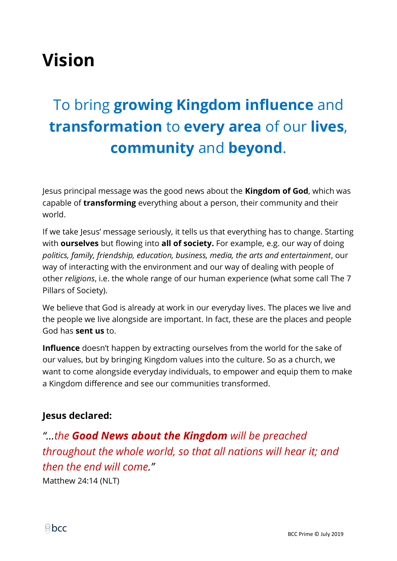## **Vision**

## To bring **growing Kingdom influence** and **transformation** to **every area** of our **lives**, **community** and **beyond**.

Jesus principal message was the good news about the **Kingdom of God**, which was capable of **transforming** everything about a person, their community and their world.

If we take Jesus' message seriously, it tells us that everything has to change. Starting with **ourselves** but flowing into **all of society.** For example, e.g. our way of doing *politics, family, friendship, education, business, media, the arts and entertainment*, our way of interacting with the environment and our way of dealing with people of other *religions*, i.e. the whole range of our human experience (what some call The 7 Pillars of Society).

We believe that God is already at work in our everyday lives. The places we live and the people we live alongside are important. In fact, these are the places and people God has **sent us** to.

**Influence** doesn't happen by extracting ourselves from the world for the sake of our values, but by bringing Kingdom values into the culture. So as a church, we want to come alongside everyday individuals, to empower and equip them to make a Kingdom difference and see our communities transformed.

#### **Jesus declared:**

*"…the Good News about the Kingdom will be preached throughout the whole world, so that all nations will hear it; and then the end will come."* Matthew 24:14 (NLT)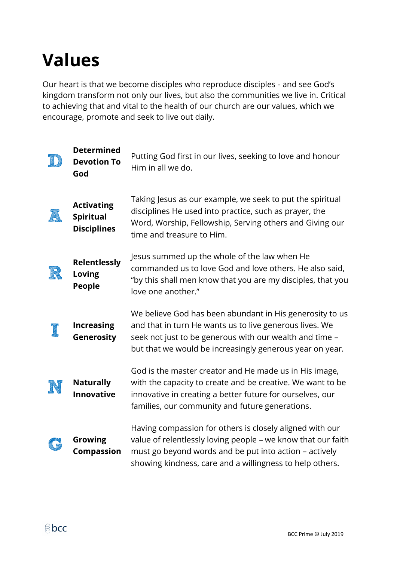## **Values**

Our heart is that we become disciples who reproduce disciples - and see God's kingdom transform not only our lives, but also the communities we live in. Critical to achieving that and vital to the health of our church are our values, which we encourage, promote and seek to live out daily.

| <b>Determined</b><br><b>Devotion To</b><br>God              | Putting God first in our lives, seeking to love and honour<br>Him in all we do.                                                                                                                                                                |
|-------------------------------------------------------------|------------------------------------------------------------------------------------------------------------------------------------------------------------------------------------------------------------------------------------------------|
| <b>Activating</b><br><b>Spiritual</b><br><b>Disciplines</b> | Taking Jesus as our example, we seek to put the spiritual<br>disciplines He used into practice, such as prayer, the<br>Word, Worship, Fellowship, Serving others and Giving our<br>time and treasure to Him.                                   |
| <b>Relentlessly</b><br>Loving<br><b>People</b>              | Jesus summed up the whole of the law when He<br>commanded us to love God and love others. He also said,<br>"by this shall men know that you are my disciples, that you<br>love one another."                                                   |
| <b>Increasing</b><br>Generosity                             | We believe God has been abundant in His generosity to us<br>and that in turn He wants us to live generous lives. We<br>seek not just to be generous with our wealth and time -<br>but that we would be increasingly generous year on year.     |
| <b>Naturally</b><br><b>Innovative</b>                       | God is the master creator and He made us in His image,<br>with the capacity to create and be creative. We want to be<br>innovative in creating a better future for ourselves, our<br>families, our community and future generations.           |
| <b>Growing</b><br><b>Compassion</b>                         | Having compassion for others is closely aligned with our<br>value of relentlessly loving people - we know that our faith<br>must go beyond words and be put into action - actively<br>showing kindness, care and a willingness to help others. |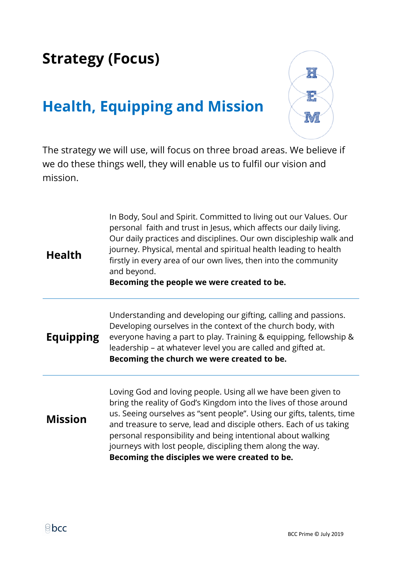### **Strategy (Focus)**

#### **Health, Equipping and Mission**



The strategy we will use, will focus on three broad areas. We believe if we do these things well, they will enable us to fulfil our vision and mission.

| <b>Health</b>    | In Body, Soul and Spirit. Committed to living out our Values. Our<br>personal faith and trust in Jesus, which affects our daily living.<br>Our daily practices and disciplines. Our own discipleship walk and<br>journey. Physical, mental and spiritual health leading to health<br>firstly in every area of our own lives, then into the community<br>and beyond.<br>Becoming the people we were created to be.                                              |
|------------------|----------------------------------------------------------------------------------------------------------------------------------------------------------------------------------------------------------------------------------------------------------------------------------------------------------------------------------------------------------------------------------------------------------------------------------------------------------------|
| <b>Equipping</b> | Understanding and developing our gifting, calling and passions.<br>Developing ourselves in the context of the church body, with<br>everyone having a part to play. Training & equipping, fellowship &<br>leadership – at whatever level you are called and gifted at.<br>Becoming the church we were created to be.                                                                                                                                            |
| <b>Mission</b>   | Loving God and loving people. Using all we have been given to<br>bring the reality of God's Kingdom into the lives of those around<br>us. Seeing ourselves as "sent people". Using our gifts, talents, time<br>and treasure to serve, lead and disciple others. Each of us taking<br>personal responsibility and being intentional about walking<br>journeys with lost people, discipling them along the way.<br>Becoming the disciples we were created to be. |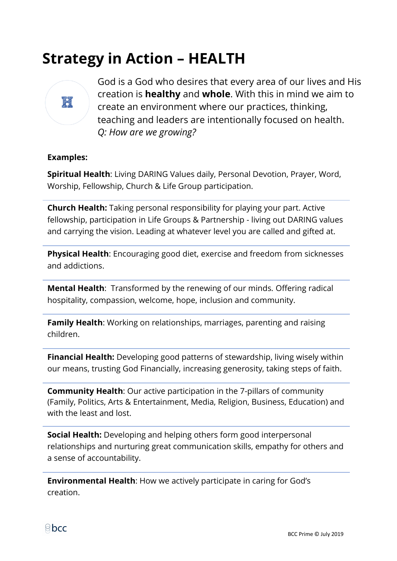### **Strategy in Action – HEALTH**



God is a God who desires that every area of our lives and His creation is **healthy** and **whole**. With this in mind we aim to create an environment where our practices, thinking, teaching and leaders are intentionally focused on health. *Q: How are we growing?*

#### **Examples:**

**Spiritual Health**: Living DARING Values daily, Personal Devotion, Prayer, Word, Worship, Fellowship, Church & Life Group participation.

**Church Health:** Taking personal responsibility for playing your part. Active fellowship, participation in Life Groups & Partnership - living out DARING values and carrying the vision. Leading at whatever level you are called and gifted at.

**Physical Health**: Encouraging good diet, exercise and freedom from sicknesses and addictions.

**Mental Health**: Transformed by the renewing of our minds. Offering radical hospitality, compassion, welcome, hope, inclusion and community.

**Family Health**: Working on relationships, marriages, parenting and raising children.

**Financial Health:** Developing good patterns of stewardship, living wisely within our means, trusting God Financially, increasing generosity, taking steps of faith.

**Community Health**: Our active participation in the 7-pillars of community (Family, Politics, Arts & Entertainment, Media, Religion, Business, Education) and with the least and lost.

**Social Health:** Developing and helping others form good interpersonal relationships and nurturing great communication skills, empathy for others and a sense of accountability.

**Environmental Health**: How we actively participate in caring for God's creation.

⊗bcc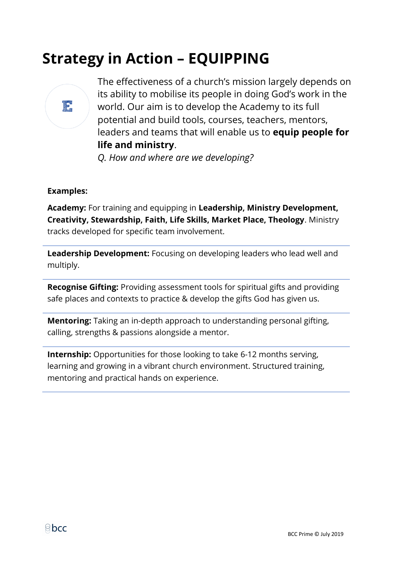### **Strategy in Action – EQUIPPING**

The effectiveness of a church's mission largely depends on its ability to mobilise its people in doing God's work in the world. Our aim is to develop the Academy to its full potential and build tools, courses, teachers, mentors, leaders and teams that will enable us to **equip people for life and ministry**.

*Q. How and where are we developing?*

#### **Examples:**

**Academy:** For training and equipping in **Leadership, Ministry Development, Creativity, Stewardship, Faith, Life Skills, Market Place, Theology**. Ministry tracks developed for specific team involvement.

**Leadership Development:** Focusing on developing leaders who lead well and multiply.

**Recognise Gifting:** Providing assessment tools for spiritual gifts and providing safe places and contexts to practice & develop the gifts God has given us.

**Mentoring:** Taking an in-depth approach to understanding personal gifting, calling, strengths & passions alongside a mentor.

**Internship:** Opportunities for those looking to take 6-12 months serving, learning and growing in a vibrant church environment. Structured training, mentoring and practical hands on experience.